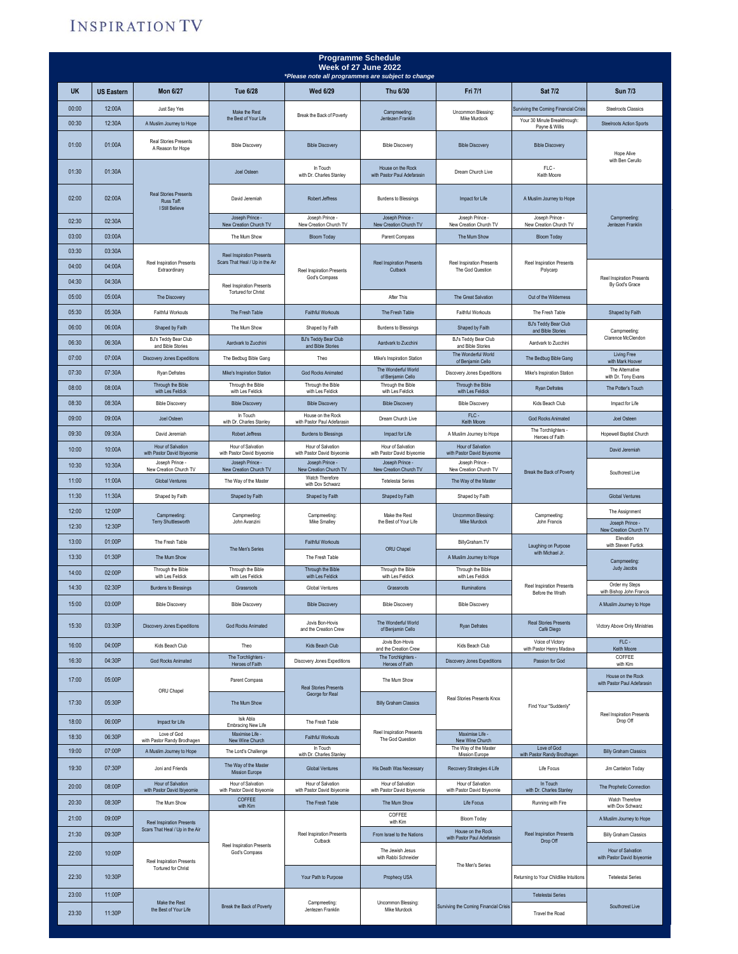## **INSPIRATION TV**

| <b>Programme Schedule</b><br>Week of 27 June 2022<br>*Please note all programmes are subject to change |                   |                                                               |                                                           |                                                  |                                                  |                                                  |                                                      |                                                  |  |  |  |
|--------------------------------------------------------------------------------------------------------|-------------------|---------------------------------------------------------------|-----------------------------------------------------------|--------------------------------------------------|--------------------------------------------------|--------------------------------------------------|------------------------------------------------------|--------------------------------------------------|--|--|--|
| UK                                                                                                     | <b>US Eastern</b> | <b>Mon 6/27</b>                                               | Tue 6/28                                                  | Wed 6/29                                         | Thu 6/30                                         | <b>Fri 7/1</b>                                   | <b>Sat 7/2</b>                                       | <b>Sun 7/3</b>                                   |  |  |  |
| 00:00                                                                                                  | 12:00A            | Just Say Yes                                                  | Make the Rest                                             |                                                  | Campmeeting:                                     | Uncommon Blessing:                               | Surviving the Coming Financial Crisis                | Steelroots Classics                              |  |  |  |
| 00:30                                                                                                  | 12:30A            | A Muslim Journey to Hope                                      | the Best of Your Life                                     | Break the Back of Poverty                        | Jentezen Franklin                                | Mike Murdock                                     | Your 30 Minute Breakthrough:<br>Payne & Willis       | <b>Steelroots Action Sports</b>                  |  |  |  |
| 01:00                                                                                                  | 01:00A            | Real Stories Presents<br>A Reason for Hope                    | <b>Bible Discovery</b>                                    | <b>Bible Discovery</b>                           | <b>Bible Discovery</b>                           | <b>Bible Discovery</b>                           | <b>Bible Discovery</b>                               | Hope Alive                                       |  |  |  |
| 01:30                                                                                                  | 01:30A            |                                                               | Joel Osteen                                               | In Touch<br>with Dr. Charles Stanley             | House on the Rock<br>with Pastor Paul Adefarasin | Dream Church Live                                | FLC-<br>Keith Moore                                  | with Ben Cerullo                                 |  |  |  |
| 02:00                                                                                                  | 02:00A            | <b>Real Stories Presents</b><br>Russ Taff:<br>I Still Believe | David Jeremiah                                            | <b>Robert Jeffress</b>                           | <b>Burdens to Blessings</b>                      | Impact for Life                                  | A Muslim Journey to Hope                             |                                                  |  |  |  |
| 02:30                                                                                                  | 02:30A            |                                                               | Joseph Prince -<br>New Creation Church TV                 | Joseph Prince -<br>New Creation Church TV        | Joseph Prince -<br>New Creation Church TV        | Joseph Prince -<br>New Creation Church TV        | Joseph Prince<br>New Creation Church TV              | Campmeeting:<br>Jentezen Franklin                |  |  |  |
| 03:00                                                                                                  | 03:00A            |                                                               | The Mum Show                                              | <b>Bloom Today</b>                               | Parent Compass                                   | The Mum Show                                     | <b>Bloom Today</b>                                   |                                                  |  |  |  |
| 03:30                                                                                                  | 03:30A            |                                                               | <b>Reel Inspiration Presents</b>                          |                                                  |                                                  |                                                  |                                                      |                                                  |  |  |  |
| 04:00                                                                                                  | 04:00A            | Reel Inspiration Presents<br>Extraordinary                    | Scars That Heal / Up in the Air                           | Reel Inspiration Presents                        | <b>Reel Inspiration Presents</b><br>Cutback      | Reel Inspiration Presents<br>The God Question    | Reel Inspiration Presents<br>Polycarp                |                                                  |  |  |  |
| 04:30                                                                                                  | 04:30A            |                                                               | Reel Inspiration Presents                                 | God's Compass                                    |                                                  |                                                  |                                                      | Reel Inspiration Presents<br>By God's Grace      |  |  |  |
| 05:00                                                                                                  | 05:00A            | The Discovery                                                 | <b>Tortured for Christ</b>                                |                                                  | After This                                       | The Great Salvation                              | Out of the Wilderness                                |                                                  |  |  |  |
| 05:30                                                                                                  | 05:30A            | Faithful Workouts                                             | The Fresh Table                                           | Faithful Workouts                                | The Fresh Table                                  | Faithful Workouts                                | The Fresh Table                                      | Shaped by Faith                                  |  |  |  |
| 06:00                                                                                                  | 06:00A            | Shaped by Faith                                               | The Mum Show                                              | Shaped by Faith                                  | <b>Burdens to Blessings</b>                      | Shaped by Faith                                  | BJ's Teddy Bear Club<br>and Bible Stories            | Campmeeting:                                     |  |  |  |
| 06:30                                                                                                  | 06:30A            | BJ's Teddy Bear Club<br>and Bible Stories                     | Aardvark to Zucchini                                      | BJ's Teddy Bear Club<br>and Bible Stories        | Aardvark to Zucchini                             | BJ's Teddy Bear Club<br>and Bible Stories        | Aardvark to Zucchini                                 | Clarence McClendon                               |  |  |  |
| 07:00                                                                                                  | 07:00A            | Discovery Jones Expeditions                                   | The Bedbug Bible Gang                                     | Theo                                             | Mike's Inspiration Station                       | The Wonderful World<br>of Benjamin Cello         | The Bedbug Bible Gang                                | <b>Living Free</b><br>with Mark Hoover           |  |  |  |
| 07:30                                                                                                  | 07:30A            | Ryan Defrates                                                 | Mike's Inspiration Station                                | God Rocks Animated                               | The Wonderful World<br>of Benjamin Cello         | Discovery Jones Expeditions                      | Mike's Inspiration Station                           | The Alternative<br>with Dr. Tony Evans           |  |  |  |
| 08:00                                                                                                  | 08:00A            | Through the Bible<br>with Les Feldick                         | Through the Bible<br>with Les Feldick                     | Through the Bible<br>with Les Feldick            | Through the Bible<br>with Les Feldick            | Through the Bible<br>with Les Feldick            | <b>Ryan Defrates</b>                                 | The Potter's Touch                               |  |  |  |
| 08:30                                                                                                  | 08:30A            | <b>Bible Discovery</b>                                        | <b>Bible Discovery</b>                                    | <b>Bible Discovery</b>                           | <b>Bible Discovery</b>                           | <b>Bible Discovery</b>                           | Kids Beach Club                                      | Impact for Life                                  |  |  |  |
| 09:00                                                                                                  | 09:00A            | Joel Osteen                                                   | In Touch<br>with Dr. Charles Stanley                      | House on the Rock<br>with Pastor Paul Adefarasin | Dream Church Live                                | $FLC -$<br>Keith Moore                           | God Rocks Animated                                   | Joel Osteen                                      |  |  |  |
| 09:30                                                                                                  | 09:30A            | David Jeremiah                                                | Robert Jeffress                                           | <b>Burdens to Blessings</b>                      | Impact for Life                                  | A Muslim Journey to Hope                         | The Torchlighters -<br>Heroes of Faith               | Hopewell Baptist Church                          |  |  |  |
| 10:00                                                                                                  | 10:00A            | Hour of Salvation<br>with Pastor David Ibiyeomie              | Hour of Salvation<br>with Pastor David Ibiyeomie          | Hour of Salvation<br>with Pastor David Ibiyeomie | Hour of Salvation<br>with Pastor David Ibiyeomie | Hour of Salvation<br>with Pastor David Ibiyeomie |                                                      | David Jeremiah                                   |  |  |  |
| 10:30                                                                                                  | 10:30A            | Joseph Prince -<br>New Creation Church TV                     | Joseph Prince -<br>New Creation Church TV                 | Joseph Prince -<br>New Creation Church TV        | Joseph Prince<br>New Creation Church TV          | Joseph Prince -<br>New Creation Church TV        | Break the Back of Poverty                            |                                                  |  |  |  |
| 11:00                                                                                                  | 11:00A            | <b>Global Ventures</b>                                        | The Way of the Master                                     | Watch Therefore<br>with Dov Schwarz              | Tetelestai Series                                | The Way of the Master                            |                                                      | Southcrest Live                                  |  |  |  |
| 11:30                                                                                                  | 11:30A            | Shaped by Faith                                               | Shaped by Faith                                           | Shaped by Faith                                  | Shaped by Faith                                  | Shaped by Faith                                  |                                                      | <b>Global Ventures</b>                           |  |  |  |
| 12:00                                                                                                  | 12:00P            | Campmeeting:                                                  | Campmeeting:<br>John Avanzini                             | Campmeeting:                                     | Make the Rest<br>the Best of Your Life           | Uncommon Blessing:<br>Mike Murdock               | Campmeeting:<br>John Francis                         | The Assignment                                   |  |  |  |
| 12:30                                                                                                  | 12:30P            | Terry Shuttlesworth                                           |                                                           | Mike Smalley                                     |                                                  |                                                  |                                                      | Joseph Prince -<br>New Creation Church TV        |  |  |  |
| 13:00                                                                                                  | 01:00P            | The Fresh Table                                               | The Men's Series                                          | Faithful Workouts                                | ORU Chapel                                       | BillyGraham.TV                                   | Laughing on Purpose<br>with Michael Jr.              | Elevation<br>with Steven Furtick                 |  |  |  |
| 13:30                                                                                                  | 01:30P            | The Mum Show                                                  |                                                           | The Fresh Table                                  |                                                  | A Muslim Journey to Hope                         |                                                      | Campmeeting:                                     |  |  |  |
| 14:00                                                                                                  | 02:00P            | Through the Bible<br>with Les Feldick                         | Through the Bible<br>with Les Feldick                     | Through the Bible<br>with Les Feldick            | Through the Bible<br>with Les Feldick            | Through the Bible<br>with Les Feldick            |                                                      | Judy Jacobs                                      |  |  |  |
| 14:30                                                                                                  | 02:30P            | <b>Burdens to Blessings</b>                                   | Grassroots                                                | Global Ventures                                  | Grassroots                                       | Illuminations                                    | <b>Reel Inspiration Presents</b><br>Before the Wrath | Order my Steps<br>with Bishop John Francis       |  |  |  |
| 15:00                                                                                                  | 03:00P            | <b>Bible Discovery</b>                                        | <b>Bible Discovery</b>                                    | <b>Bible Discovery</b>                           | <b>Bible Discovery</b>                           | <b>Bible Discovery</b>                           |                                                      | A Muslim Journey to Hope                         |  |  |  |
| 15:30                                                                                                  | 03:30P            | Discovery Jones Expeditions                                   | <b>God Rocks Animated</b>                                 | Jovis Bon-Hovis<br>and the Creation Crew         | The Wonderful World<br>of Benjamin Cello         | <b>Ryan Defrates</b>                             | <b>Real Stories Presents</b><br>Café Diego           | Victory Above Only Ministries                    |  |  |  |
| 16:00                                                                                                  | 04:00P            | Kids Beach Club                                               | Theo                                                      | Kids Beach Club                                  | Jovis Bon-Hovis<br>and the Creation Crew         | Kids Beach Club                                  | Voice of Victory<br>with Pastor Henry Madava         | FLC-<br>Keith Moore                              |  |  |  |
| 16:30                                                                                                  | 04:30P            | <b>God Rocks Animated</b>                                     | The Torchlighters -<br>Heroes of Faith                    | Discovery Jones Expeditions                      | The Torchlighters -<br>Heroes of Faith           | Discovery Jones Expeditions                      | Passion for God                                      | COFFEE<br>with Kim                               |  |  |  |
| 17:00                                                                                                  | 05:00P            | ORU Chapel                                                    | Parent Compass                                            | <b>Real Stories Presents</b>                     | The Mum Show                                     |                                                  |                                                      | House on the Rock<br>with Pastor Paul Adefarasin |  |  |  |
| 17:30                                                                                                  | 05:30P            |                                                               | The Mum Show                                              | George for Real                                  | <b>Billy Graham Classics</b>                     | Real Stories Presents Knox                       | Find Your "Suddenly"                                 |                                                  |  |  |  |
| 18:00                                                                                                  | 06:00P            | Impact for Life<br>Love of God                                | Isik Abla<br><b>Embracing New Life</b><br>Maximise Life - | The Fresh Table                                  | <b>Reel Inspiration Presents</b>                 | Maximise Life -                                  |                                                      | <b>Reel Inspiration Presents</b><br>Drop Off     |  |  |  |
| 18:30                                                                                                  | 06:30P            | with Pastor Randy Brodhagen                                   | New Wine Church                                           | Faithful Workouts<br>In Touch                    | The God Question                                 | New Wine Church<br>The Way of the Master         | Love of God                                          |                                                  |  |  |  |
| 19:00                                                                                                  | 07:00P            | A Muslim Journey to Hope                                      | The Lord's Challenge<br>The Way of the Master             | with Dr. Charles Stanley                         |                                                  | <b>Mission Europe</b>                            | with Pastor Randy Brodhagen                          | <b>Billy Graham Classics</b>                     |  |  |  |
| 19:30                                                                                                  | 07:30P            | Joni and Friends                                              | <b>Mission Europe</b>                                     | <b>Global Ventures</b>                           | His Death Was Necessary                          | Recovery Strategies 4 Life                       | Life Focus                                           | Jim Cantelon Today                               |  |  |  |
| 20:00                                                                                                  | 08:00P            | Hour of Salvation<br>with Pastor David Ibiyeomie              | Hour of Salvation<br>with Pastor David Ibiyeomie          | Hour of Salvation<br>with Pastor David Ibiyeomie | Hour of Salvation<br>with Pastor David Ibiyeomie | Hour of Salvation<br>with Pastor David Ibiyeomie | In Touch<br>with Dr. Charles Stanley                 | The Prophetic Connection                         |  |  |  |
| 20:30                                                                                                  | 08:30P            | The Mum Show                                                  | COFFEE<br>with Kim                                        | The Fresh Table                                  | The Mum Show                                     | Life Focus                                       | Running with Fire                                    | Watch Therefore<br>with Dov Schwarz              |  |  |  |
| 21:00                                                                                                  | 09:00P            | <b>Reel Inspiration Presents</b>                              |                                                           | Reel Inspiration Presents<br>Cutback             | COFFEE<br>with Kim                               | <b>Bloom Today</b>                               | Reel Inspiration Presents<br>Drop Off                | A Muslim Journey to Hope                         |  |  |  |
| 21:30                                                                                                  | 09:30P            | Scars That Heal / Up in the Air                               |                                                           |                                                  | From Israel to the Nations                       | House on the Rock<br>with Pastor Paul Adefarasin |                                                      | <b>Billy Graham Classics</b>                     |  |  |  |
| 22:00                                                                                                  | 10:00P            | Reel Inspiration Presents<br>Tortured for Christ              | Reel Inspiration Presents<br>God's Compass                |                                                  | The Jewish Jesus<br>with Rabbi Schneider         | The Men's Series                                 |                                                      | Hour of Salvation<br>with Pastor David Ibiyeomie |  |  |  |
| 22:30                                                                                                  | 10:30P            |                                                               |                                                           | Your Path to Purpose                             | Prophecy USA                                     |                                                  | Returning to Your Childlike Intuitions               | Tetelestai Series                                |  |  |  |
| 23:00                                                                                                  | 11:00P            |                                                               |                                                           |                                                  |                                                  |                                                  | <b>Tetelestai Series</b>                             |                                                  |  |  |  |
| 23:30                                                                                                  | 11:30P            | Make the Rest<br>the Best of Your Life                        | Break the Back of Poverty                                 | Campmeeting:<br>Jentezen Franklin                | Uncommon Blessing:<br>Mike Murdock               | Surviving the Coming Financial Crisis            | <b>Travel the Road</b>                               | Southcrest Live                                  |  |  |  |